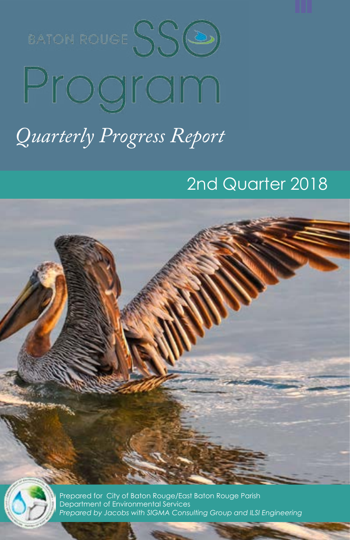BATON ROUGE SSO

# Program

## *Quarterly Progress Report*

## 2nd Quarter 2018



Prepared for City of Baton Rouge/East Baton Rouge Parish Department of Environmental Services *Prepared by Jacobs with SIGMA Consulting Group and ILSI Engineering*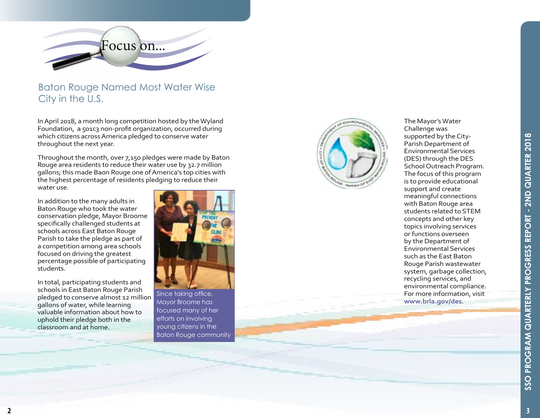

#### Baton Rouge Named Most Water Wise City in the U.S.

In April 2018, a month long competition hosted by the Wyland Foundation, a 501c3 non-profit organization, occurred during which citizens across America pledged to conserve water throughout the next year.

Throughout the month, over 7,150 pledges were made by Baton Rouge area residents to reduce their water use by 32.7 million gallons; this made Baon Rouge one of America's top cities with the highest percentage of residents pledging to reduce their water use.

In addition to the many adults in Baton Rouge who took the water conservation pledge, Mayor Broome specifically challenged students at schools across East Baton Rouge Parish to take the pledge as part of a competition among area schools focused on driving the greatest percentage possible of participating students.

In total, participating students and schools in East Baton Rouge Parish pledged to conserve almost 12 million gallons of water, while learning valuable information about how to uphold their pledge both in the classroom and at home.



Since taking office, Mayor Broome has focused many of her efforts on involving young citizens in the Baton Rouge community



The Mayor's Water Challenge was supported by the City-Parish Department of Environmental Services (DES) through the DES School Outreach Program. The focus of this program is to provide educational support and create meaningful connections with Baton Rouge area students related to STEM concepts and other key topics involving services or functions overseen by the Department of Environmental Services such as the East Baton Rouge Parish wastewater system, garbage collection, recycling services, and environmental compliance. For more information, visit **www.brla.gov/des**.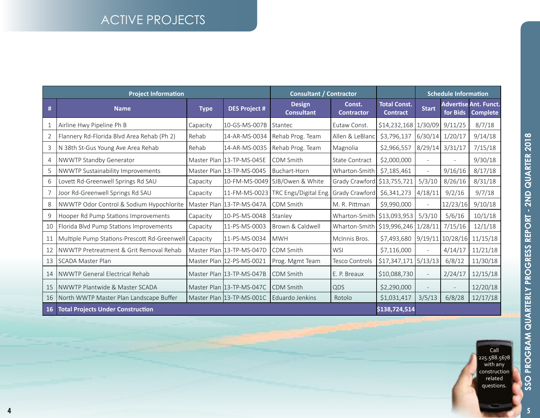## ACTIVE PROJECTS

| <b>Project Information</b> |                                                       |             |                           | <b>Consultant / Contractor</b>        |                                        |                                        | <b>Schedule Information</b> |                          |                                                 |
|----------------------------|-------------------------------------------------------|-------------|---------------------------|---------------------------------------|----------------------------------------|----------------------------------------|-----------------------------|--------------------------|-------------------------------------------------|
| #                          | <b>Name</b>                                           | <b>Type</b> | <b>DES Project #</b>      | <b>Design</b><br><b>Consultant</b>    | Const.<br><b>Contractor</b>            | <b>Total Const.</b><br><b>Contract</b> | <b>Start</b>                | for Bids                 | <b>Advertise Ant. Funct.</b><br><b>Complete</b> |
| 1                          | Airline Hwy Pipeline Ph B                             | Capacity    | 10-GS-MS-007B             | Stantec                               | Eutaw Const.                           | $$14,232,168$   1/30/09                |                             | 9/11/25                  | 8/7/18                                          |
| 2                          | Flannery Rd-Florida Blvd Area Rehab (Ph 2)            | Rehab       | 14-AR-MS-0034             | Rehab Prog. Team                      | Allen & LeBland                        | \$3,796,137                            | 6/30/14                     | 1/20/17                  | 9/14/18                                         |
| 3                          | N 38th St-Gus Young Ave Area Rehab                    | Rehab       | 14-AR-MS-0035             | Rehab Prog. Team                      | Magnolia                               | \$2,966,557                            | 8/29/14                     | 3/31/17                  | 7/15/18                                         |
| 4                          | NWWTP Standby Generator                               |             | Master Plan 13-TP-MS-045E | CDM Smith                             | State Contract                         | \$2,000,000                            |                             | $\overline{a}$           | 9/30/18                                         |
| 5                          | NWWTP Sustainability Improvements                     |             | Master Plan 13-TP-MS-0045 | Buchart-Horn                          | Wharton-Smith                          | \$7,185,461                            |                             | 9/16/16                  | 8/17/18                                         |
| 6                          | Lovett Rd-Greenwell Springs Rd SAU                    | Capacity    | 10-FM-MS-0049             | SJB/Owen & White                      | Grady Crawford \$13,755,721            |                                        | 5/3/10                      | 8/26/16                  | 8/31/18                                         |
|                            | Joor Rd-Greenwell Springs Rd SAU                      | Capacity    |                           | 11-FM-MS-0023   TRC Engs/Digital Eng. | Grady Crawford                         | \$6,341,273                            | 4/18/11                     | 9/2/16                   | 9/7/18                                          |
| 8                          | NWWTP Odor Control & Sodium Hypochlorite              |             | Master Plan 13-TP-MS-047A | CDM Smith                             | M. R. Pittman                          | \$9,990,000                            |                             | 12/23/16                 | 9/10/18                                         |
| 9                          | Hooper Rd Pump Stations Improvements                  | Capacity    | 10-PS-MS-0048             | Stanley                               | Wharton-Smith   \$13,093,953           |                                        | 5/3/10                      | 5/6/16                   | 10/1/18                                         |
| 10                         | Florida Blvd Pump Stations Improvements               | Capacity    | 11-PS-MS-0003             | Brown & Caldwell                      | Wharton-Smith   \$19,996,246   1/28/11 |                                        |                             | 7/15/16                  | 12/1/18                                         |
| 11                         | Multiple Pump Stations-Prescott Rd-Greenwell Capacity |             | 11-PS-MS-0034             | <b>MWH</b>                            | McInnis Bros.                          | \$7,493,680                            |                             | 9/19/11 10/28/16         | 11/15/18                                        |
| 12                         | NWWTP Pretreatment & Grit Removal Rehab               |             | Master Plan 13-TP-MS-047D | CDM Smith                             | <b>WSI</b>                             | \$7,116,000                            |                             | 4/14/17                  | 11/21/18                                        |
| 13                         | <b>SCADA Master Plan</b>                              |             | Master Plan 12-PS-MS-0021 | Prog. Mgmt Team                       | Tesco Controls                         | \$17,347,171                           | 5/13/13                     | 6/8/12                   | 11/30/18                                        |
| 14                         | NWWTP General Electrical Rehab                        |             | Master Plan 13-TP-MS-047B | CDM Smith                             | E. P. Breaux                           | \$10,088,730                           |                             | 2/24/17                  | 12/15/18                                        |
| 15                         | NWWTP Plantwide & Master SCADA                        |             | Master Plan 13-TP-MS-047C | CDM Smith                             | QDS                                    | \$2,290,000                            |                             | $\overline{\phantom{a}}$ | 12/20/18                                        |
| 16                         | North WWTP Master Plan Landscape Buffer               |             | Master Plan 13-TP-MS-001C | Eduardo Jenkins                       | Rotolo                                 | \$1,031,417                            | 3/5/13                      | 6/8/28                   | 12/17/18                                        |
| 16 <sup>°</sup>            | <b>Total Projects Under Construction</b>              |             |                           |                                       |                                        | \$138,724,514                          |                             |                          |                                                 |

Call 225.588.5678 with any construction related questions.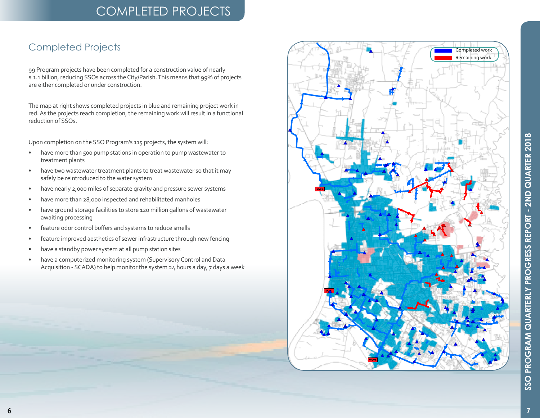## COMPLETED PROJECTS

### Completed Projects

99 Program projects have been completed for a construction value of nearly \$ 1.1 billion, reducing SSOs across the City/Parish. This means that 99% of projects are either completed or under construction.

The map at right shows completed projects in blue and remaining project work in red. As the projects reach completion, the remaining work will result in a functional reduction of SSOs.

Upon completion on the SSO Program's 115 projects, the system will:

- have more than 500 pump stations in operation to pump wastewater to treatment plants
- have two wastewater treatment plants to treat wastewater so that it may safely be reintroduced to the water system
- have nearly 2,000 miles of separate gravity and pressure sewer systems
- have more than 28,000 inspected and rehabilitated manholes
- have ground storage facilities to store 120 million gallons of wastewater awaiting processing
- feature odor control buffers and systems to reduce smells
- feature improved aesthetics of sewer infrastructure through new fencing
- have a standby power system at all pump station sites
- have a computerized monitoring system (Supervisory Control and Data Acquisition - SCADA) to help monitor the system 24 hours a day, 7 days a week